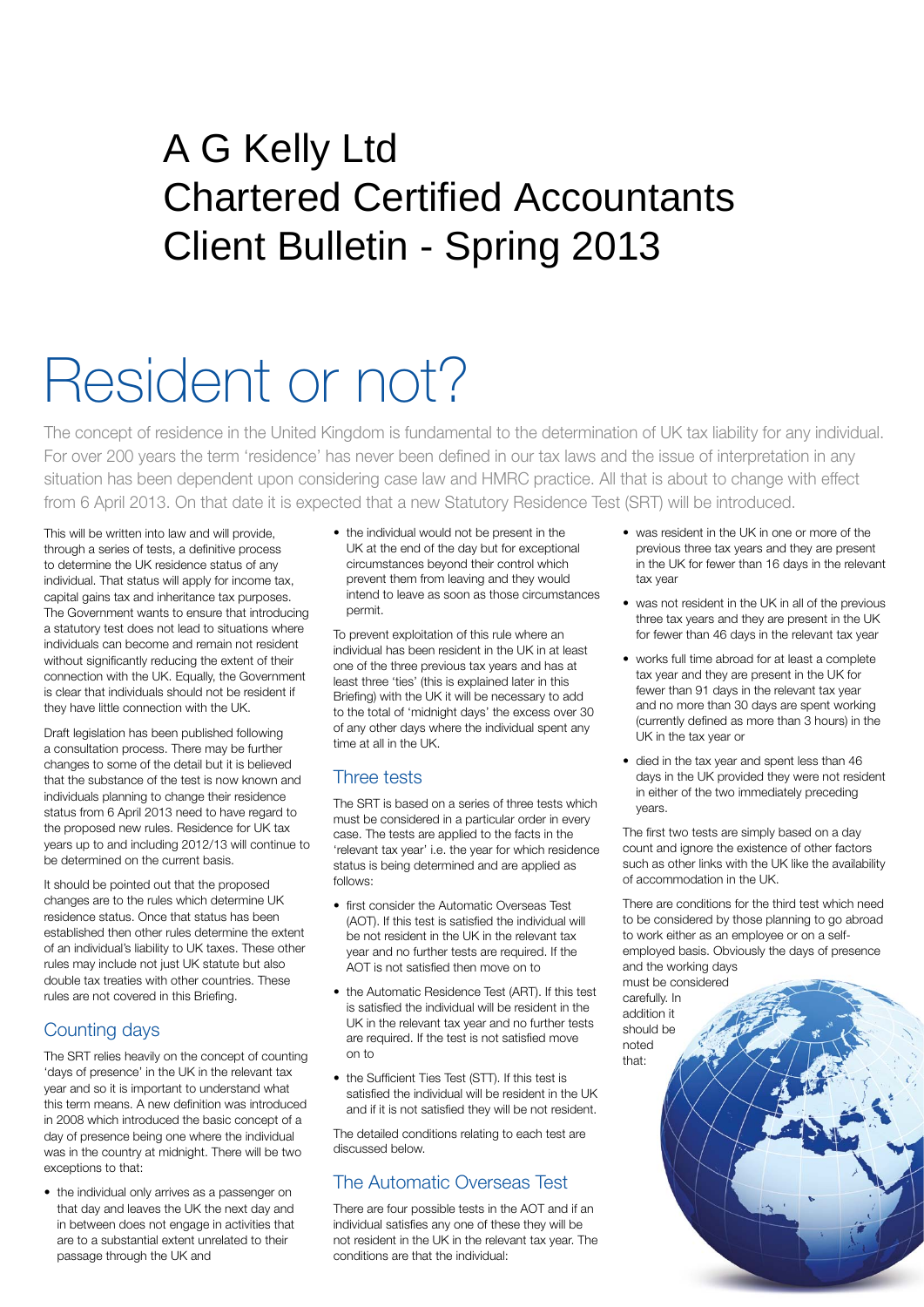# Client Bulletin - Spring 2013 A G Kelly Ltd Chartered Certified Accountants

# Resident or not?

The concept of residence in the United Kingdom is fundamental to the determination of UK tax liability for any individual. For over 200 years the term 'residence' has never been defined in our tax laws and the issue of interpretation in any situation has been dependent upon considering case law and HMRC practice. All that is about to change with effect from 6 April 2013. On that date it is expected that a new Statutory Residence Test (SRT) will be introduced.

This will be written into law and will provide, through a series of tests, a definitive process to determine the UK residence status of any individual. That status will apply for income tax, capital gains tax and inheritance tax purposes. The Government wants to ensure that introducing a statutory test does not lead to situations where individuals can become and remain not resident without significantly reducing the extent of their connection with the UK. Equally, the Government is clear that individuals should not be resident if they have little connection with the UK.

Draft legislation has been published following a consultation process. There may be further changes to some of the detail but it is believed that the substance of the test is now known and individuals planning to change their residence status from 6 April 2013 need to have regard to the proposed new rules. Residence for UK tax years up to and including 2012/13 will continue to be determined on the current basis.

It should be pointed out that the proposed changes are to the rules which determine UK residence status. Once that status has been established then other rules determine the extent of an individual's liability to UK taxes. These other rules may include not just UK statute but also double tax treaties with other countries. These rules are not covered in this Briefing.

## Counting days

The SRT relies heavily on the concept of counting 'days of presence' in the UK in the relevant tax year and so it is important to understand what this term means. A new definition was introduced in 2008 which introduced the basic concept of a day of presence being one where the individual was in the country at midnight. There will be two exceptions to that:

• the individual only arrives as a passenger on that day and leaves the UK the next day and in between does not engage in activities that are to a substantial extent unrelated to their passage through the UK and

• the individual would not be present in the UK at the end of the day but for exceptional circumstances beyond their control which prevent them from leaving and they would intend to leave as soon as those circumstances permit.

To prevent exploitation of this rule where an individual has been resident in the UK in at least one of the three previous tax years and has at least three 'ties' (this is explained later in this Briefing) with the UK it will be necessary to add to the total of 'midnight days' the excess over 30 of any other days where the individual spent any time at all in the UK.

#### Three tests

The SRT is based on a series of three tests which must be considered in a particular order in every case. The tests are applied to the facts in the 'relevant tax year' i.e. the year for which residence status is being determined and are applied as follows:

- first consider the Automatic Overseas Test (AOT). If this test is satisfied the individual will be not resident in the UK in the relevant tax year and no further tests are required. If the AOT is not satisfied then move on to
- the Automatic Residence Test (ART). If this test is satisfied the individual will be resident in the UK in the relevant tax year and no further tests are required. If the test is not satisfied move on to
- the Sufficient Ties Test (STT). If this test is satisfied the individual will be resident in the UK and if it is not satisfied they will be not resident.

The detailed conditions relating to each test are discussed below.

# The Automatic Overseas Test

There are four possible tests in the AOT and if an individual satisfies any one of these they will be not resident in the UK in the relevant tax year. The conditions are that the individual:

- was resident in the UK in one or more of the previous three tax years and they are present in the UK for fewer than 16 days in the relevant tax year
- was not resident in the UK in all of the previous three tax years and they are present in the UK for fewer than 46 days in the relevant tax year
- works full time abroad for at least a complete tax year and they are present in the UK for fewer than 91 days in the relevant tax year and no more than 30 days are spent working (currently defined as more than 3 hours) in the UK in the tax year or
- died in the tax year and spent less than 46 days in the UK provided they were not resident in either of the two immediately preceding years.

The first two tests are simply based on a day count and ignore the existence of other factors such as other links with the UK like the availability of accommodation in the UK.

There are conditions for the third test which need to be considered by those planning to go abroad to work either as an employee or on a selfemployed basis. Obviously the days of presence and the working days

must be considered carefully. In addition it should be noted that: